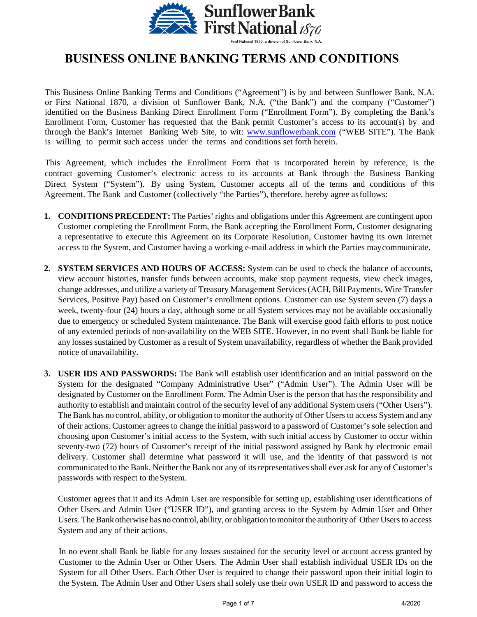

## **BUSINESS ONLINE BANKING TERMS AND CONDITIONS**

This Business Online Banking Terms and Conditions ("Agreement") is by and between Sunflower Bank, N.A. or First National 1870, a division of Sunflower Bank, N.A. ("the Bank") and the company ("Customer") identified on the Business Banking Direct Enrollment Form ("Enrollment Form"). By completing the Bank's Enrollment Form, Customer has requested that the Bank permit Customer's access to its account(s) by and through [the Bank's Internet B](http://www.sunflowerbank.com/)ank[ing Web Site, to](http://www.sunflowerbank.com/) wit: www.sunflowerbank.com ("WEB SITE"). The Bank is willing to permit such access under the terms and conditions set forth herein.

This Agreement, which includes the Enrollment Form that is incorporated herein by reference, is the contract governing Customer's electronic access to its accounts at Bank through the Business Banking Direct System ("System"). By using System, Customer accepts all of the terms and conditions of this Agreement. The Bank and Customer (collectively "the Parties"), therefore, hereby agree asfollows:

- **1. CONDITIONS PRECEDENT:** The Parties' rights and obligations under this Agreement are contingent upon Customer completing the Enrollment Form, the Bank accepting the Enrollment Form, Customer designating a representative to execute this Agreement on its Corporate Resolution, Customer having its own Internet access to the System, and Customer having a working e-mail address in which the Parties maycommunicate.
- **2. SYSTEM SERVICES AND HOURS OF ACCESS:** System can be used to check the balance of accounts, view account histories, transfer funds between accounts, make stop payment requests, view check images, change addresses, and utilize a variety of Treasury Management Services (ACH, Bill Payments, Wire Transfer Services, Positive Pay) based on Customer's enrollment options. Customer can use System seven (7) days a week, twenty-four (24) hours a day, although some or all System services may not be available occasionally due to emergency or scheduled System maintenance. The Bank will exercise good faith efforts to post notice of any extended periods of non-availability on the WEB SITE. However, in no event shall Bank be liable for any losses sustained by Customer as a result of System unavailability, regardless of whether the Bank provided notice of unavailability.
- **3. USER IDS AND PASSWORDS:** The Bank will establish user identification and an initial password on the System for the designated "Company Administrative User" ("Admin User"). The Admin User will be designated by Customer on the Enrollment Form. The Admin User is the person that has the responsibility and authority to establish and maintain control of the security level of any additional System users ("Other Users"). The Bank has no control, ability, or obligation to monitor the authority of Other Users to access System and any of their actions. Customer agrees to change the initial password to a password of Customer's sole selection and choosing upon Customer's initial access to the System, with such initial access by Customer to occur within seventy-two (72) hours of Customer's receipt of the initial password assigned by Bank by electronic email delivery. Customer shall determine what password it will use, and the identity of that password is not communicated to the Bank. Neither the Bank nor any of its representatives shall ever ask for any of Customer's passwords with respect to theSystem.

Customer agrees that it and its Admin User are responsible for setting up, establishing user identifications of Other Users and Admin User ("USER ID"), and granting access to the System by Admin User and Other Users. The Bank otherwise has no control, ability, or obligation to monitor the authority of Other Users to access System and any of their actions.

In no event shall Bank be liable for any losses sustained for the security level or account access granted by Customer to the Admin User or Other Users. The Admin User shall establish individual USER IDs on the System for all Other Users. Each Other User is required to change their password upon their initial login to the System. The Admin User and Other Users shall solely use their own USER ID and password to access the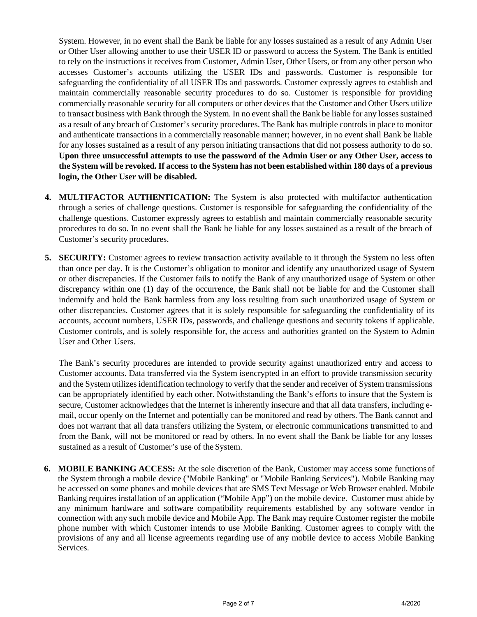System. However, in no event shall the Bank be liable for any losses sustained as a result of any Admin User or Other User allowing another to use their USER ID or password to access the System. The Bank is entitled to rely on the instructions it receives from Customer, Admin User, Other Users, or from any other person who accesses Customer's accounts utilizing the USER IDs and passwords. Customer is responsible for safeguarding the confidentiality of all USER IDs and passwords. Customer expressly agrees to establish and maintain commercially reasonable security procedures to do so. Customer is responsible for providing commercially reasonable security for all computers or other devices that the Customer and Other Users utilize to transact business with Bank through the System. In no event shall the Bank be liable for any losses sustained as a result of any breach of Customer's security procedures. The Bank has multiple controls in place to monitor and authenticate transactions in a commercially reasonable manner; however, in no event shall Bank be liable for any losses sustained as a result of any person initiating transactions that did not possess authority to do so. **Upon three unsuccessful attempts to use the password of the Admin User or any Other User, access to the System will be revoked. If access to the System has not been established within 180 days of a previous login, the Other User will be disabled.**

- **4. MULTIFACTOR AUTHENTICATION:** The System is also protected with multifactor authentication through a series of challenge questions. Customer is responsible for safeguarding the confidentiality of the challenge questions. Customer expressly agrees to establish and maintain commercially reasonable security procedures to do so. In no event shall the Bank be liable for any losses sustained as a result of the breach of Customer's security procedures.
- **5. SECURITY:** Customer agrees to review transaction activity available to it through the System no less often than once per day. It is the Customer's obligation to monitor and identify any unauthorized usage of System or other discrepancies. If the Customer fails to notify the Bank of any unauthorized usage of System or other discrepancy within one (1) day of the occurrence, the Bank shall not be liable for and the Customer shall indemnify and hold the Bank harmless from any loss resulting from such unauthorized usage of System or other discrepancies. Customer agrees that it is solely responsible for safeguarding the confidentiality of its accounts, account numbers, USER IDs, passwords, and challenge questions and security tokens if applicable. Customer controls, and is solely responsible for, the access and authorities granted on the System to Admin User and Other Users.

The Bank's security procedures are intended to provide security against unauthorized entry and access to Customer accounts. Data transferred via the System isencrypted in an effort to provide transmission security and the System utilizesidentification technology to verify that the sender and receiver of System transmissions can be appropriately identified by each other. Notwithstanding the Bank's efforts to insure that the System is secure, Customer acknowledges that the Internet is inherently insecure and that all data transfers, including email, occur openly on the Internet and potentially can be monitored and read by others. The Bank cannot and does not warrant that all data transfers utilizing the System, or electronic communications transmitted to and from the Bank, will not be monitored or read by others. In no event shall the Bank be liable for any losses sustained as a result of Customer's use of the System.

**6. MOBILE BANKING ACCESS:** At the sole discretion of the Bank, Customer may access some functionsof the System through a mobile device ("Mobile Banking" or "Mobile Banking Services"). Mobile Banking may be accessed on some phones and mobile devices that are SMS Text Message or Web Browser enabled. Mobile Banking requires installation of an application ("Mobile App") on the mobile device. Customer must abide by any minimum hardware and software compatibility requirements established by any software vendor in connection with any such mobile device and Mobile App. The Bank may require Customer register the mobile phone number with which Customer intends to use Mobile Banking. Customer agrees to comply with the provisions of any and all license agreements regarding use of any mobile device to access Mobile Banking Services.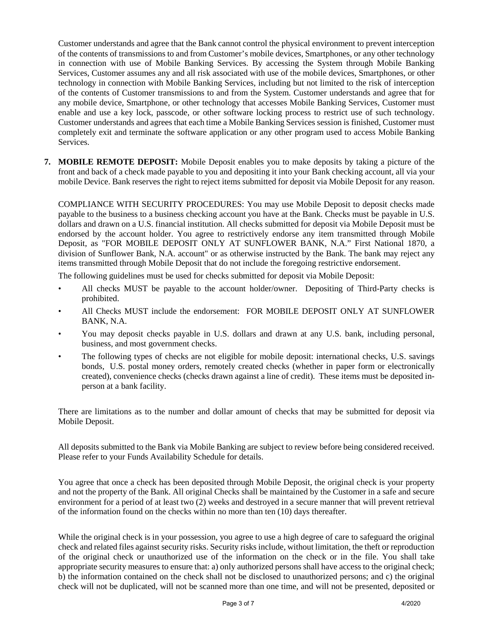Customer understands and agree that the Bank cannot control the physical environment to prevent interception of the contents of transmissions to and from Customer's mobile devices, Smartphones, or any other technology in connection with use of Mobile Banking Services. By accessing the System through Mobile Banking Services, Customer assumes any and all risk associated with use of the mobile devices, Smartphones, or other technology in connection with Mobile Banking Services, including but not limited to the risk of interception of the contents of Customer transmissions to and from the System. Customer understands and agree that for any mobile device, Smartphone, or other technology that accesses Mobile Banking Services, Customer must enable and use a key lock, passcode, or other software locking process to restrict use of such technology. Customer understands and agrees that each time a Mobile Banking Services session is finished, Customer must completely exit and terminate the software application or any other program used to access Mobile Banking Services.

**7. MOBILE REMOTE DEPOSIT:** Mobile Deposit enables you to make deposits by taking a picture of the front and back of a check made payable to you and depositing it into your Bank checking account, all via your mobile Device. Bank reserves the right to reject items submitted for deposit via Mobile Deposit for any reason.

COMPLIANCE WITH SECURITY PROCEDURES: You may use Mobile Deposit to deposit checks made payable to the business to a business checking account you have at the Bank. Checks must be payable in U.S. dollars and drawn on a U.S. financial institution. All checks submitted for deposit via Mobile Deposit must be endorsed by the account holder. You agree to restrictively endorse any item transmitted through Mobile Deposit, as "FOR MOBILE DEPOSIT ONLY AT SUNFLOWER BANK, N.A." First National 1870, a division of Sunflower Bank, N.A. account" or as otherwise instructed by the Bank. The bank may reject any items transmitted through Mobile Deposit that do not include the foregoing restrictive endorsement.

The following guidelines must be used for checks submitted for deposit via Mobile Deposit:

- All checks MUST be payable to the account holder/owner. Depositing of Third-Party checks is prohibited.
- All Checks MUST include the endorsement: FOR MOBILE DEPOSIT ONLY AT SUNFLOWER BANK, N.A.
- You may deposit checks payable in U.S. dollars and drawn at any U.S. bank, including personal, business, and most government checks.
- The following types of checks are not eligible for mobile deposit: international checks, U.S. savings bonds, U.S. postal money orders, remotely created checks (whether in paper form or electronically created), convenience checks (checks drawn against a line of credit). These items must be deposited inperson at a bank facility.

There are limitations as to the number and dollar amount of checks that may be submitted for deposit via Mobile Deposit.

All deposits submitted to the Bank via Mobile Banking are subject to review before being considered received. Please refer to your Funds Availability Schedule for details.

You agree that once a check has been deposited through Mobile Deposit, the original check is your property and not the property of the Bank. All original Checks shall be maintained by the Customer in a safe and secure environment for a period of at least two (2) weeks and destroyed in a secure manner that will prevent retrieval of the information found on the checks within no more than ten (10) days thereafter.

While the original check is in your possession, you agree to use a high degree of care to safeguard the original check and related files against security risks. Security risks include, without limitation, the theft or reproduction of the original check or unauthorized use of the information on the check or in the file. You shall take appropriate security measures to ensure that: a) only authorized persons shall have access to the original check; b) the information contained on the check shall not be disclosed to unauthorized persons; and c) the original check will not be duplicated, will not be scanned more than one time, and will not be presented, deposited or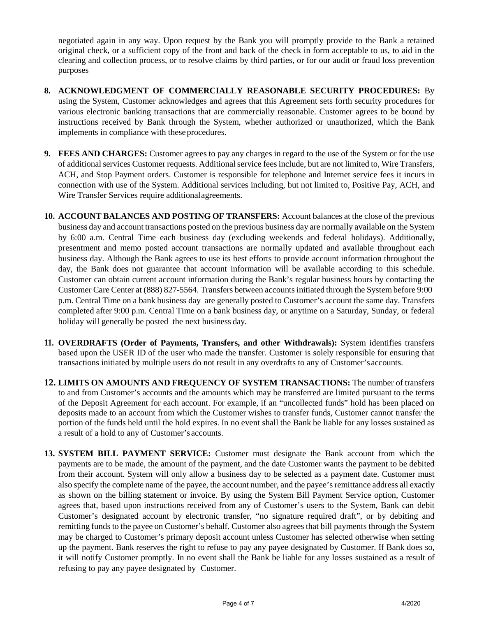negotiated again in any way. Upon request by the Bank you will promptly provide to the Bank a retained original check, or a sufficient copy of the front and back of the check in form acceptable to us, to aid in the clearing and collection process, or to resolve claims by third parties, or for our audit or fraud loss prevention purposes

- **8. ACKNOWLEDGMENT OF COMMERCIALLY REASONABLE SECURITY PROCEDURES:** By using the System, Customer acknowledges and agrees that this Agreement sets forth security procedures for various electronic banking transactions that are commercially reasonable. Customer agrees to be bound by instructions received by Bank through the System, whether authorized or unauthorized, which the Bank implements in compliance with these procedures.
- **9. FEES AND CHARGES:** Customer agrees to pay any charges in regard to the use of the System or for the use of additional services Customer requests. Additional service fees include, but are not limited to, Wire Transfers, ACH, and Stop Payment orders. Customer is responsible for telephone and Internet service fees it incurs in connection with use of the System. Additional services including, but not limited to, Positive Pay, ACH, and Wire Transfer Services require additionalagreements.
- **10. ACCOUNT BALANCES AND POSTING OF TRANSFERS:** Account balances at the close of the previous business day and account transactions posted on the previous business day are normally available on the System by 6:00 a.m. Central Time each business day (excluding weekends and federal holidays). Additionally, presentment and memo posted account transactions are normally updated and available throughout each business day. Although the Bank agrees to use its best efforts to provide account information throughout the day, the Bank does not guarantee that account information will be available according to this schedule. Customer can obtain current account information during the Bank's regular business hours by contacting the Customer Care Center at (888) 827-5564. Transfers between accounts initiated through the System before 9:00 p.m. Central Time on a bank business day are generally posted to Customer's account the same day. Transfers completed after 9:00 p.m. Central Time on a bank business day, or anytime on a Saturday, Sunday, or federal holiday will generally be posted the next business day.
- **11. OVERDRAFTS (Order of Payments, Transfers, and other Withdrawals):** System identifies transfers based upon the USER ID of the user who made the transfer. Customer is solely responsible for ensuring that transactions initiated by multiple users do not result in any overdrafts to any of Customer's accounts.
- **12. LIMITS ON AMOUNTS AND FREQUENCY OF SYSTEM TRANSACTIONS:** The number of transfers to and from Customer's accounts and the amounts which may be transferred are limited pursuant to the terms of the Deposit Agreement for each account. For example, if an "uncollected funds" hold has been placed on deposits made to an account from which the Customer wishes to transfer funds, Customer cannot transfer the portion of the funds held until the hold expires. In no event shall the Bank be liable for any losses sustained as a result of a hold to any of Customer's accounts.
- **13. SYSTEM BILL PAYMENT SERVICE:** Customer must designate the Bank account from which the payments are to be made, the amount of the payment, and the date Customer wants the payment to be debited from their account. System will only allow a business day to be selected as a payment date. Customer must also specify the complete name of the payee, the account number, and the payee's remittance address all exactly as shown on the billing statement or invoice. By using the System Bill Payment Service option, Customer agrees that, based upon instructions received from any of Customer's users to the System, Bank can debit Customer's designated account by electronic transfer, "no signature required draft", or by debiting and remitting funds to the payee on Customer's behalf. Customer also agrees that bill payments through the System may be charged to Customer's primary deposit account unless Customer has selected otherwise when setting up the payment. Bank reserves the right to refuse to pay any payee designated by Customer. If Bank does so, it will notify Customer promptly. In no event shall the Bank be liable for any losses sustained as a result of refusing to pay any payee designated by Customer.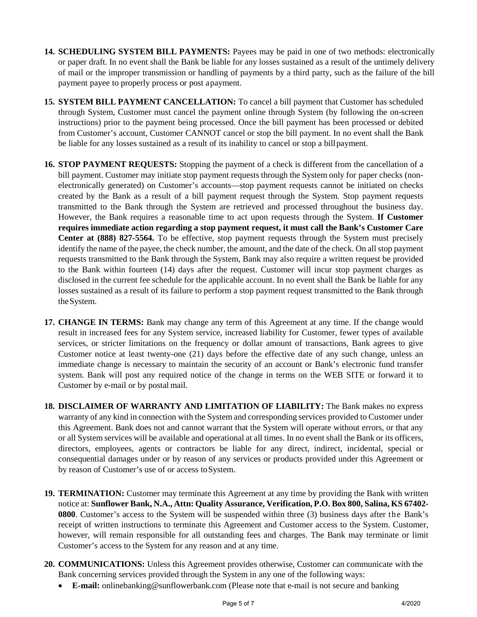- **14. SCHEDULING SYSTEM BILL PAYMENTS:** Payees may be paid in one of two methods: electronically or paper draft. In no event shall the Bank be liable for any losses sustained as a result of the untimely delivery of mail or the improper transmission or handling of payments by a third party, such as the failure of the bill payment payee to properly process or post a payment.
- **15. SYSTEM BILL PAYMENT CANCELLATION:** To cancel a bill payment that Customer has scheduled through System, Customer must cancel the payment online through System (by following the on-screen instructions) prior to the payment being processed. Once the bill payment has been processed or debited from Customer's account, Customer CANNOT cancel or stop the bill payment. In no event shall the Bank be liable for any losses sustained as a result of its inability to cancel or stop a bill payment.
- **16. STOP PAYMENT REQUESTS:** Stopping the payment of a check is different from the cancellation of a bill payment. Customer may initiate stop payment requests through the System only for paper checks (nonelectronically generated) on Customer's accounts—stop payment requests cannot be initiated on checks created by the Bank as a result of a bill payment request through the System. Stop payment requests transmitted to the Bank through the System are retrieved and processed throughout the business day. However, the Bank requires a reasonable time to act upon requests through the System. **If Customer requires immediate action regarding a stop payment request, it must call the Bank's Customer Care Center at (888) 827-5564.** To be effective, stop payment requests through the System must precisely identify the name of the payee, the check number, the amount, and the date of the check. On all stop payment requests transmitted to the Bank through the System, Bank may also require a written request be provided to the Bank within fourteen (14) days after the request. Customer will incur stop payment charges as disclosed in the current fee schedule for the applicable account. In no event shall the Bank be liable for any losses sustained as a result of its failure to perform a stop payment request transmitted to the Bank through the System.
- **17. CHANGE IN TERMS:** Bank may change any term of this Agreement at any time. If the change would result in increased fees for any System service, increased liability for Customer, fewer types of available services, or stricter limitations on the frequency or dollar amount of transactions, Bank agrees to give Customer notice at least twenty-one (21) days before the effective date of any such change, unless an immediate change is necessary to maintain the security of an account or Bank's electronic fund transfer system. Bank will post any required notice of the change in terms on the WEB SITE or forward it to Customer by e-mail or by postal mail.
- **18. DISCLAIMER OF WARRANTY AND LIMITATION OF LIABILITY:** The Bank makes no express warranty of any kind in connection with the System and corresponding services provided to Customer under this Agreement. Bank does not and cannot warrant that the System will operate without errors, or that any or all System services will be available and operational at all times. In no event shall the Bank or its officers, directors, employees, agents or contractors be liable for any direct, indirect, incidental, special or consequential damages under or by reason of any services or products provided under this Agreement or by reason of Customer's use of or access toSystem.
- **19. TERMINATION:** Customer may terminate this Agreement at any time by providing the Bank with written notice at: **Sunflower Bank, N.A., Attn: Quality Assurance, Verification, P.O. Box 800, Salina, KS 67402- 0800**. Customer's access to the System will be suspended within three (3) business days after the Bank's receipt of written instructions to terminate this Agreement and Customer access to the System. Customer, however, will remain responsible for all outstanding fees and charges. The Bank may terminate or limit Customer's access to the System for any reason and at any time.
- **20. COMMUNICATIONS:** Unless this Agreement provides otherwise, Customer can communicate with the Bank concerning services provided through the System in any one of the following ways:
	- **E-mail:** [onlinebanking@sunflowerbank.com](mailto:onlinebanking@sunflowerbank.com) (Please note that e-mail is not secure and banking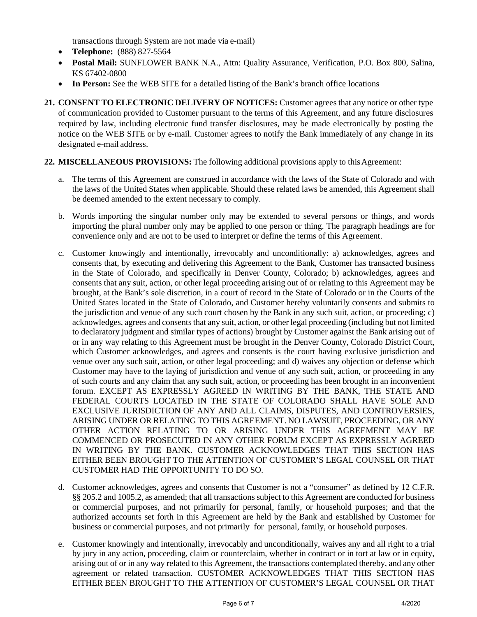transactions through System are not made via e-mail)

- **Telephone:** (888) 827-5564
- **Postal Mail:** SUNFLOWER BANK N.A., Attn: Quality Assurance, Verification, P.O. Box 800, Salina, KS 67402-0800
- In Person: See the WEB SITE for a detailed listing of the Bank's branch office locations
- **21. CONSENT TO ELECTRONIC DELIVERY OF NOTICES:** Customer agrees that any notice or other type of communication provided to Customer pursuant to the terms of this Agreement, and any future disclosures required by law, including electronic fund transfer disclosures, may be made electronically by posting the notice on the WEB SITE or by e-mail. Customer agrees to notify the Bank immediately of any change in its designated e-mail address.
- **22. MISCELLANEOUS PROVISIONS:** The following additional provisions apply to this Agreement:
	- a. The terms of this Agreement are construed in accordance with the laws of the State of Colorado and with the laws of the United States when applicable. Should these related laws be amended, this Agreement shall be deemed amended to the extent necessary to comply.
	- b. Words importing the singular number only may be extended to several persons or things, and words importing the plural number only may be applied to one person or thing. The paragraph headings are for convenience only and are not to be used to interpret or define the terms of this Agreement.
	- c. Customer knowingly and intentionally, irrevocably and unconditionally: a) acknowledges, agrees and consents that, by executing and delivering this Agreement to the Bank, Customer has transacted business in the State of Colorado, and specifically in Denver County, Colorado; b) acknowledges, agrees and consents that any suit, action, or other legal proceeding arising out of or relating to this Agreement may be brought, at the Bank's sole discretion, in a court of record in the State of Colorado or in the Courts of the United States located in the State of Colorado, and Customer hereby voluntarily consents and submits to the jurisdiction and venue of any such court chosen by the Bank in any such suit, action, or proceeding; c) acknowledges, agrees and consents that any suit, action, or other legal proceeding (including but not limited to declaratory judgment and similar types of actions) brought by Customer against the Bank arising out of or in any way relating to this Agreement must be brought in the Denver County, Colorado District Court, which Customer acknowledges, and agrees and consents is the court having exclusive jurisdiction and venue over any such suit, action, or other legal proceeding; and d) waives any objection or defense which Customer may have to the laying of jurisdiction and venue of any such suit, action, or proceeding in any of such courts and any claim that any such suit, action, or proceeding has been brought in an inconvenient forum. EXCEPT AS EXPRESSLY AGREED IN WRITING BY THE BANK, THE STATE AND FEDERAL COURTS LOCATED IN THE STATE OF COLORADO SHALL HAVE SOLE AND EXCLUSIVE JURISDICTION OF ANY AND ALL CLAIMS, DISPUTES, AND CONTROVERSIES, ARISING UNDER OR RELATING TO THIS AGREEMENT. NO LAWSUIT, PROCEEDING, OR ANY OTHER ACTION RELATING TO OR ARISING UNDER THIS AGREEMENT MAY BE COMMENCED OR PROSECUTED IN ANY OTHER FORUM EXCEPT AS EXPRESSLY AGREED IN WRITING BY THE BANK. CUSTOMER ACKNOWLEDGES THAT THIS SECTION HAS EITHER BEEN BROUGHT TO THE ATTENTION OF CUSTOMER'S LEGAL COUNSEL OR THAT CUSTOMER HAD THE OPPORTUNITY TO DO SO.
	- d. Customer acknowledges, agrees and consents that Customer is not a "consumer" as defined by 12 C.F.R. §§ 205.2 and 1005.2, as amended; that all transactions subject to this Agreement are conducted for business or commercial purposes, and not primarily for personal, family, or household purposes; and that the authorized accounts set forth in this Agreement are held by the Bank and established by Customer for business or commercial purposes, and not primarily for personal, family, or household purposes.
	- e. Customer knowingly and intentionally, irrevocably and unconditionally, waives any and all right to a trial by jury in any action, proceeding, claim or counterclaim, whether in contract or in tort at law or in equity, arising out of or in any way related to this Agreement, the transactions contemplated thereby, and any other agreement or related transaction. CUSTOMER ACKNOWLEDGES THAT THIS SECTION HAS EITHER BEEN BROUGHT TO THE ATTENTION OF CUSTOMER'S LEGAL COUNSEL OR THAT